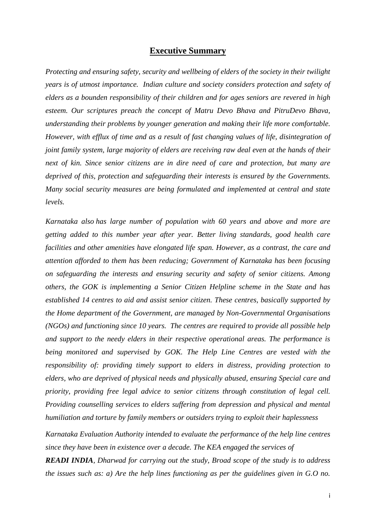# **Executive Summary**

*Protecting and ensuring safety, security and wellbeing of elders of the society in their twilight years is of utmost importance. Indian culture and society considers protection and safety of elders as a bounden responsibility of their children and for ages seniors are revered in high esteem. Our scriptures preach the concept of Matru Devo Bhava and PitruDevo Bhava, understanding their problems by younger generation and making their life more comfortable. However, with efflux of time and as a result of fast changing values of life, disintegration of joint family system, large majority of elders are receiving raw deal even at the hands of their next of kin. Since senior citizens are in dire need of care and protection, but many are deprived of this, protection and safeguarding their interests is ensured by the Governments. Many social security measures are being formulated and implemented at central and state levels.*

*Karnataka also has large number of population with 60 years and above and more are getting added to this number year after year. Better living standards, good health care facilities and other amenities have elongated life span. However, as a contrast, the care and attention afforded to them has been reducing; Government of Karnataka has been focusing on safeguarding the interests and ensuring security and safety of senior citizens. Among others, the GOK is implementing a Senior Citizen Helpline scheme in the State and has established 14 centres to aid and assist senior citizen. These centres, basically supported by the Home department of the Government, are managed by Non-Governmental Organisations (NGOs) and functioning since 10 years. The centres are required to provide all possible help and support to the needy elders in their respective operational areas. The performance is being monitored and supervised by GOK. The Help Line Centres are vested with the responsibility of: providing timely support to elders in distress, providing protection to elders, who are deprived of physical needs and physically abused, ensuring Special care and priority, providing free legal advice to senior citizens through constitution of legal cell. Providing counselling services to elders suffering from depression and physical and mental humiliation and torture by family members or outsiders trying to exploit their haplessness*

*Karnataka Evaluation Authority intended to evaluate the performance of the help line centres since they have been in existence over a decade. The KEA engaged the services of*

*READI INDIA, Dharwad for carrying out the study, Broad scope of the study is to address the issues such as: a) Are the help lines functioning as per the guidelines given in G.O no.*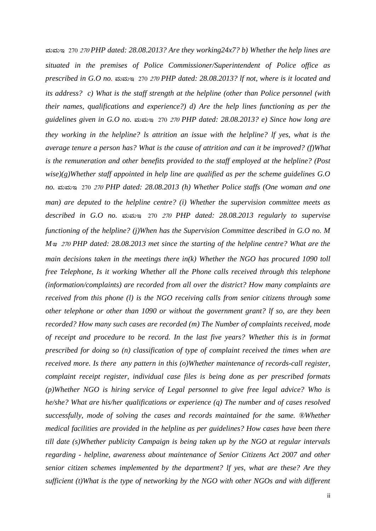ªÀĪÀÄE 270 <sup>270</sup> *PHP dated: 28.08.2013? Are they working24x7? b) Whether the help lines are situated in the premises of Police Commissioner/Superintendent of Police office as prescribed in G.O no.* ಮಮಇ 270 270 PHP dated: 28.08.2013? If not, where is it located and *its address? c) What is the staff strength at the helpline (other than Police personnel (with their names, qualifications and experience?) d) Are the help lines functioning as per the guidelines given in G.O no.* ಮಮಇ 270 270 *PHP dated: 28.08.2013? e) Since how long are they working in the helpline? ls attrition an issue with the helpline? lf yes, what is the average tenure a person has? What is the cause of attrition and can it be improved? (f)What is the remuneration and other benefits provided to the staff employed at the helpline? (Post wise)(g)Whether staff appointed in help line are qualified as per the scheme guidelines G.O no.* ಮಮಇ 270 *270 PHP dated: 28.08.2013 (h) Whether Police staffs (One woman and one man) are deputed to the helpline centre? (i) Whether the supervision committee meets as described in G.O no.* ಮಮಇ 270 270 PHP dated: 28.08.2013 regularly to supervise *functioning of the helpline? (j)When has the Supervision Committee described in G.O no. M M*<sup> $\alpha$ </sup> 270 *PHP dated: 28.08.2013 met since the starting of the helpline centre? What are the main decisions taken in the meetings there in(k) Whether the NGO has procured 1090 toll free Telephone, Is it working Whether all the Phone calls received through this telephone (information/complaints) are recorded from all over the district? How many complaints are received from this phone (l) is the NGO receiving calls from senior citizens through some other telephone or other than 1090 or without the government grant? lf so, are they been recorded? How many such cases are recorded (m) The Number of complaints received, mode of receipt and procedure to be record. In the last five years? Whether this is in format prescribed for doing so (n) classification of type of complaint received the times when are received more. Is there any pattern in this (o)Whether maintenance of records-call register, complaint receipt register, individual case files is being done as per prescribed formats (p)Whether NGO is hiring service of Legal personnel to give free legal advice? Who is he/she? What are his/her qualifications or experience (q) The number and of cases resolved successfully, mode of solving the cases and records maintained for the same. ®Whether medical facilities are provided in the helpline as per guidelines? How cases have been there till date (s)Whether publicity Campaign is being taken up by the NGO at regular intervals regarding - helpline, awareness about maintenance of Senior Citizens Act 2007 and other senior citizen schemes implemented by the department? lf yes, what are these? Are they sufficient (t)What is the type of networking by the NGO with other NGOs and with different*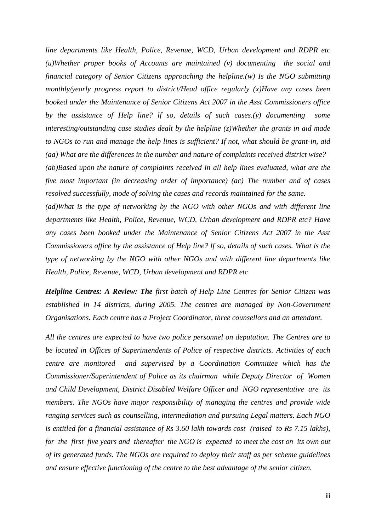*line departments like Health, Police, Revenue, WCD, Urban development and RDPR etc (u)Whether proper books of Accounts are maintained (v) documenting the social and financial category of Senior Citizens approaching the helpline.(w) Is the NGO submitting monthly/yearly progress report to district/Head office regularly (x)Have any cases been booked under the Maintenance of Senior Citizens Act 2007 in the Asst Commissioners office by the assistance of Help line? lf so, details of such cases.(y) documenting some interesting/outstanding case studies dealt by the helpline (z)Whether the grants in aid made to NGOs to run and manage the help lines is sufficient? If not, what should be grant-in, aid (aa) What are the differences in the number and nature of complaints received district wise? (ab)Based upon the nature of complaints received in all help lines evaluated, what are the five most important (in decreasing order of importance) (ac) The number and of cases resolved successfully, mode of solving the cases and records maintained for the same.*

*(ad)What is the type of networking by the NGO with other NGOs and with different line departments like Health, Police, Revenue, WCD, Urban development and RDPR etc? Have any cases been booked under the Maintenance of Senior Citizens Act 2007 in the Asst Commissioners office by the assistance of Help line? lf so, details of such cases. What is the type of networking by the NGO with other NGOs and with different line departments like Health, Police, Revenue, WCD, Urban development and RDPR etc*

*Helpline Centres: A Review: The first batch of Help Line Centres for Senior Citizen was established in 14 districts, during 2005. The centres are managed by Non-Government Organisations. Each centre has a Project Coordinator, three counsellors and an attendant.*

*All the centres are expected to have two police personnel on deputation. The Centres are to be located in Offices of Superintendents of Police of respective districts. Activities of each centre are monitored and supervised by a Coordination Committee which has the Commissioner/Superintendent of Police as its chairman while Deputy Director of Women and Child Development, District Disabled Welfare Officer and NGO representative are its members. The NGOs have major responsibility of managing the centres and provide wide ranging services such as counselling, intermediation and pursuing Legal matters. Each NGO is entitled for a financial assistance of Rs 3.60 lakh towards cost (raised to Rs 7.15 lakhs), for the first five years and thereafter the NGO is expected to meet the cost on its own out of its generated funds. The NGOs are required to deploy their staff as per scheme guidelines and ensure effective functioning of the centre to the best advantage of the senior citizen.*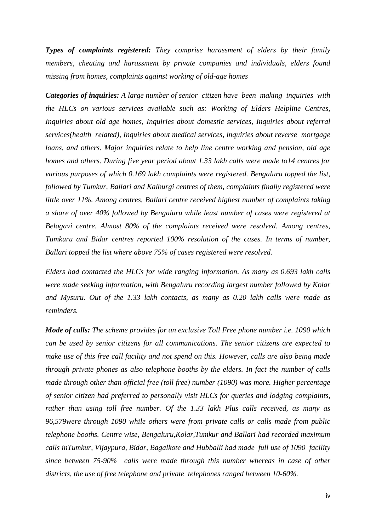*Types of complaints registered***:** *They comprise harassment of elders by their family members, cheating and harassment by private companies and individuals, elders found missing from homes, complaints against working of old-age homes*

*Categories of inquiries: A large number of senior citizen have been making inquiries with the HLCs on various services available such as: Working of Elders Helpline Centres, Inquiries about old age homes, Inquiries about domestic services, Inquiries about referral services(health related), Inquiries about medical services, inquiries about reverse mortgage loans, and others. Major inquiries relate to help line centre working and pension, old age homes and others. During five year period about 1.33 lakh calls were made to14 centres for various purposes of which 0.169 lakh complaints were registered. Bengaluru topped the list, followed by Tumkur, Ballari and Kalburgi centres of them, complaints finally registered were little over 11%. Among centres, Ballari centre received highest number of complaints taking a share of over 40% followed by Bengaluru while least number of cases were registered at Belagavi centre. Almost 80% of the complaints received were resolved. Among centres, Tumkuru and Bidar centres reported 100% resolution of the cases. In terms of number, Ballari topped the list where above 75% of cases registered were resolved.* 

*Elders had contacted the HLCs for wide ranging information. As many as 0.693 lakh calls were made seeking information, with Bengaluru recording largest number followed by Kolar and Mysuru. Out of the 1.33 lakh contacts, as many as 0.20 lakh calls were made as reminders.*

*Mode of calls: The scheme provides for an exclusive Toll Free phone number i.e. 1090 which can be used by senior citizens for all communications. The senior citizens are expected to make use of this free call facility and not spend on this. However, calls are also being made through private phones as also telephone booths by the elders. In fact the number of calls made through other than official free (toll free) number (1090) was more. Higher percentage of senior citizen had preferred to personally visit HLCs for queries and lodging complaints, rather than using toll free number. Of the 1.33 lakh Plus calls received, as many as 96,579were through 1090 while others were from private calls or calls made from public telephone booths. Centre wise, Bengaluru,Kolar,Tumkur and Ballari had recorded maximum calls inTumkur, Vijaypura, Bidar, Bagalkote and Hubballi had made full use of 1090 facility since between 75-90% calls were made through this number whereas in case of other districts, the use of free telephone and private telephones ranged between 10-60%.*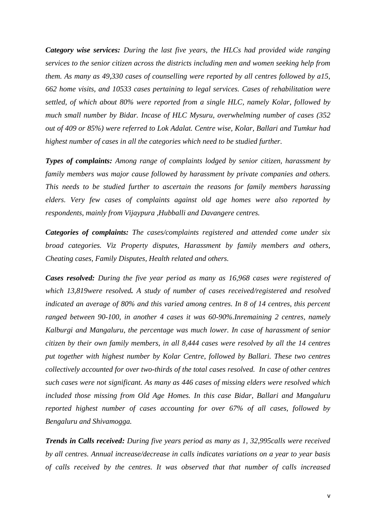*Category wise services: During the last five years, the HLCs had provided wide ranging services to the senior citizen across the districts including men and women seeking help from them. As many as 49,330 cases of counselling were reported by all centres followed by a15, 662 home visits, and 10533 cases pertaining to legal services. Cases of rehabilitation were settled, of which about 80% were reported from a single HLC, namely Kolar, followed by much small number by Bidar. Incase of HLC Mysuru, overwhelming number of cases (352 out of 409 or 85%) were referred to Lok Adalat. Centre wise, Kolar, Ballari and Tumkur had highest number of cases in all the categories which need to be studied further.*

*Types of complaints: Among range of complaints lodged by senior citizen, harassment by family members was major cause followed by harassment by private companies and others. This needs to be studied further to ascertain the reasons for family members harassing elders. Very few cases of complaints against old age homes were also reported by respondents, mainly from Vijaypura ,Hubballi and Davangere centres.* 

*Categories of complaints: The cases/complaints registered and attended come under six broad categories. Viz Property disputes, Harassment by family members and others, Cheating cases, Family Disputes, Health related and others.*

*Cases resolved: During the five year period as many as 16,968 cases were registered of which 13,819were resolved. A study of number of cases received/registered and resolved indicated an average of 80% and this varied among centres. In 8 of 14 centres, this percent ranged between 90-100, in another 4 cases it was 60-90%.Inremaining 2 centres, namely Kalburgi and Mangaluru, the percentage was much lower. In case of harassment of senior citizen by their own family members, in all 8,444 cases were resolved by all the 14 centres put together with highest number by Kolar Centre, followed by Ballari. These two centres collectively accounted for over two-thirds of the total cases resolved. In case of other centres such cases were not significant. As many as 446 cases of missing elders were resolved which included those missing from Old Age Homes. In this case Bidar, Ballari and Mangaluru reported highest number of cases accounting for over 67% of all cases, followed by Bengaluru and Shivamogga.*

*Trends in Calls received: During five years period as many as 1, 32,995calls were received by all centres. Annual increase/decrease in calls indicates variations on a year to year basis of calls received by the centres. It was observed that that number of calls increased*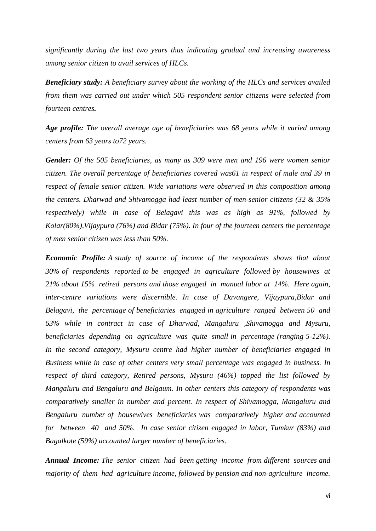*significantly during the last two years thus indicating gradual and increasing awareness among senior citizen to avail services of HLCs.*

*Beneficiary study: A beneficiary survey about the working of the HLCs and services availed from them was carried out under which 505 respondent senior citizens were selected from fourteen centres.*

*Age profile: The overall average age of beneficiaries was 68 years while it varied among centers from 63 years to72 years.* 

*Gender: Of the 505 beneficiaries, as many as 309 were men and 196 were women senior citizen. The overall percentage of beneficiaries covered was61 in respect of male and 39 in respect of female senior citizen. Wide variations were observed in this composition among the centers. Dharwad and Shivamogga had least number of men-senior citizens (32 & 35% respectively) while in case of Belagavi this was as high as 91%, followed by Kolar(80%),Vijaypura (76%) and Bidar (75%). In four of the fourteen centers the percentage of men senior citizen was less than 50%.*

*Economic Profile: A study of source of income of the respondents shows that about 30% of respondents reported to be engaged in agriculture followed by housewives at 21% about 15% retired persons and those engaged in manual labor at 14%. Here again, inter-centre variations were discernible. In case of Davangere, Vijaypura,Bidar and Belagavi, the percentage of beneficiaries engaged in agriculture ranged between 50 and 63% while in contract in case of Dharwad, Mangaluru ,Shivamogga and Mysuru, beneficiaries depending on agriculture was quite small in percentage (ranging 5-12%). In the second category, Mysuru centre had higher number of beneficiaries engaged in Business while in case of other centers very small percentage was engaged in business. In respect of third category, Retired persons, Mysuru (46%) topped the list followed by Mangaluru and Bengaluru and Belgaum. In other centers this category of respondents was comparatively smaller in number and percent. In respect of Shivamogga, Mangaluru and Bengaluru number of housewives beneficiaries was comparatively higher and accounted for between 40 and 50%. In case senior citizen engaged in labor, Tumkur (83%) and Bagalkote (59%) accounted larger number of beneficiaries.* 

*Annual Income: The senior citizen had been getting income from different sources and majority of them had agriculture income, followed by pension and non-agriculture income.*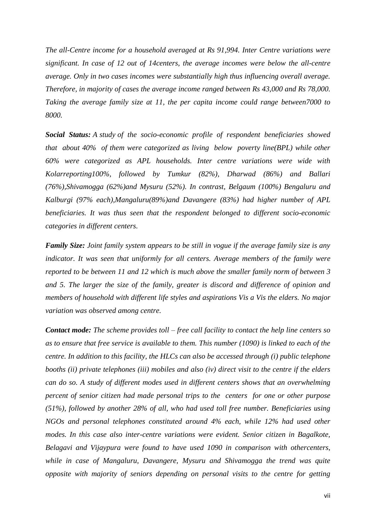*The all-Centre income for a household averaged at Rs 91,994. Inter Centre variations were significant. In case of 12 out of 14centers, the average incomes were below the all-centre average. Only in two cases incomes were substantially high thus influencing overall average. Therefore, in majority of cases the average income ranged between Rs 43,000 and Rs 78,000. Taking the average family size at 11, the per capita income could range between7000 to 8000.* 

*Social Status: A study of the socio-economic profile of respondent beneficiaries showed that about 40% of them were categorized as living below poverty line(BPL) while other 60% were categorized as APL households. Inter centre variations were wide with Kolarreporting100%, followed by Tumkur (82%), Dharwad (86%) and Ballari (76%),Shivamogga (62%)and Mysuru (52%). In contrast, Belgaum (100%) Bengaluru and Kalburgi (97% each),Mangaluru(89%)and Davangere (83%) had higher number of APL beneficiaries. It was thus seen that the respondent belonged to different socio-economic categories in different centers.* 

*Family Size: Joint family system appears to be still in vogue if the average family size is any indicator. It was seen that uniformly for all centers. Average members of the family were reported to be between 11 and 12 which is much above the smaller family norm of between 3 and 5. The larger the size of the family, greater is discord and difference of opinion and members of household with different life styles and aspirations Vis a Vis the elders. No major variation was observed among centre.*

*Contact mode: The scheme provides toll – free call facility to contact the help line centers so as to ensure that free service is available to them. This number (1090) is linked to each of the centre. In addition to this facility, the HLCs can also be accessed through (i) public telephone booths (ii) private telephones (iii) mobiles and also (iv) direct visit to the centre if the elders can do so. A study of different modes used in different centers shows that an overwhelming percent of senior citizen had made personal trips to the centers for one or other purpose (51%), followed by another 28% of all, who had used toll free number. Beneficiaries using NGOs and personal telephones constituted around 4% each, while 12% had used other modes. In this case also inter-centre variations were evident. Senior citizen in Bagalkote, Belagavi and Vijaypura were found to have used 1090 in comparison with othercenters, while in case of Mangaluru, Davangere, Mysuru and Shivamogga the trend was quite opposite with majority of seniors depending on personal visits to the centre for getting*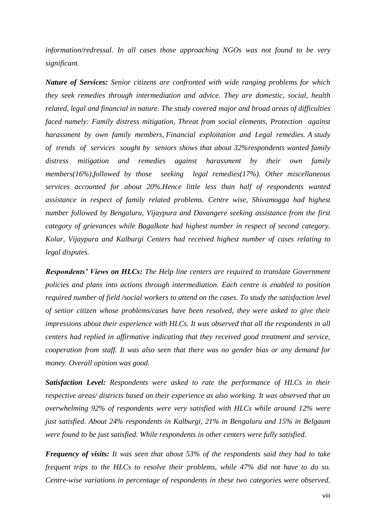*information/redressal. In all cases those approaching NGOs was not found to be very significant.*

*Nature of Services: Senior citizens are confronted with wide ranging problems for which they seek remedies through intermediation and advice. They are domestic, social, health related, legal and financial in nature. The study covered major and broad areas of difficulties faced namely: Family distress mitigation, Threat from social elements, Protection against harassment by own family members, Financial exploitation and Legal remedies. A study of trends of services sought by seniors shows that about 32%respondents wanted family distress mitigation and remedies against harassment by their own family members(16%),followed by those seeking legal remedies(17%). Other miscellaneous services accounted for about 20%.Hence little less than half of respondents wanted assistance in respect of family related problems. Centre wise, Shivamogga had highest number followed by Bengaluru, Vijaypura and Davangere seeking assistance from the first category of grievances while Bagalkote had highest number in respect of second category. Kolar, Vijaypura and Kalburgi Centers had received highest number of cases relating to legal disputes.* 

*Respondents' Views on HLCs: The Help line centers are required to translate Government policies and plans into actions through intermediation. Each centre is enabled to position required number of field /social workers to attend on the cases. To study the satisfaction level of senior citizen whose problems/cases have been resolved, they were asked to give their impressions about their experience with HLCs. It was observed that all the respondents in all centers had replied in affirmative indicating that they received good treatment and service, cooperation from staff. It was also seen that there was no gender bias or any demand for money. Overall opinion was good.*

*Satisfaction Level: Respondents were asked to rate the performance of HLCs in their respective areas/ districts based on their experience as also working. It was observed that an overwhelming 92% of respondents were very satisfied with HLCs while around 12% were just satisfied. About 24% respondents in Kalburgi, 21% in Bengaluru and 15% in Belgaum were found to be just satisfied. While respondents in other centers were fully satisfied.*

*Frequency of visits: It was seen that about 53% of the respondents said they had to take frequent trips to the HLCs to resolve their problems, while 47% did not have to do so. Centre-wise variations in percentage of respondents in these two categories were observed.*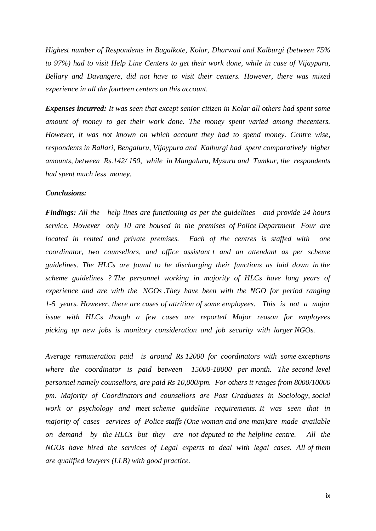*Highest number of Respondents in Bagalkote, Kolar, Dharwad and Kalburgi (between 75% to 97%) had to visit Help Line Centers to get their work done, while in case of Vijaypura, Bellary and Davangere, did not have to visit their centers. However, there was mixed experience in all the fourteen centers on this account.*

*Expenses incurred: It was seen that except senior citizen in Kolar all others had spent some amount of money to get their work done. The money spent varied among thecenters. However, it was not known on which account they had to spend money. Centre wise, respondents in Ballari, Bengaluru, Vijaypura and Kalburgi had spent comparatively higher amounts, between Rs.142/ 150, while in Mangaluru, Mysuru and Tumkur, the respondents had spent much less money.* 

### *Conclusions:*

*Findings: All the help lines are functioning as per the guidelines and provide 24 hours service. However only 10 are housed in the premises of Police Department Four are located in rented and private premises. Each of the centres is staffed with one coordinator, two counsellors, and office assistant t and an attendant as per scheme guidelines. The HLCs are found to be discharging their functions as laid down in the scheme guidelines ? The personnel working in majority of HLCs have long years of experience and are with the NGOs .They have been with the NGO for period ranging 1-5 years. However, there are cases of attrition of some employees. This is not a major issue with HLCs though a few cases are reported Major reason for employees picking up new jobs is monitory consideration and job security with larger NGOs.*

*Average remuneration paid is around Rs 12000 for coordinators with some exceptions*  where the coordinator is paid between 15000-18000 per month. The second level *personnel namely counsellors, are paid Rs 10,000/pm. For others it ranges from 8000/10000 pm. Majority of Coordinators and counsellors are Post Graduates in Sociology, social work or psychology and meet scheme guideline requirements. It was seen that in majority of cases services of Police staffs (One woman and one man)are made available on demand by the HLCs but they are not deputed to the helpline centre. All the NGOs have hired the services of Legal experts to deal with legal cases. All of them are qualified lawyers (LLB) with good practice.*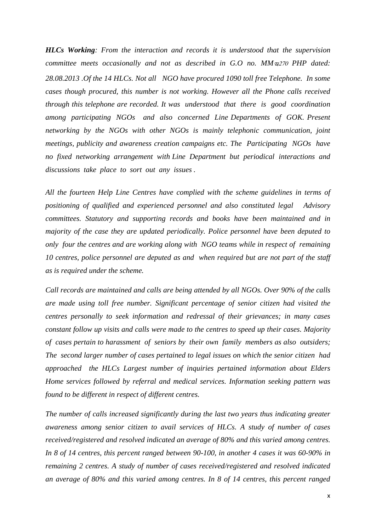*HLCs Working: From the interaction and records it is understood that the supervision committee meets occasionally and not as described in G.O no. MM*  $\approx$  *270 PHP dated: 28.08.2013 .Of the 14 HLCs. Not all NGO have procured 1090 toll free Telephone. In some cases though procured, this number is not working. However all the Phone calls received through this telephone are recorded. It was understood that there is good coordination among participating NGOs and also concerned Line Departments of GOK. Present networking by the NGOs with other NGOs is mainly telephonic communication, joint meetings, publicity and awareness creation campaigns etc. The Participating NGOs have no fixed networking arrangement with Line Department but periodical interactions and discussions take place to sort out any issues .*

*All the fourteen Help Line Centres have complied with the scheme guidelines in terms of positioning of qualified and experienced personnel and also constituted legal Advisory committees. Statutory and supporting records and books have been maintained and in majority of the case they are updated periodically. Police personnel have been deputed to only four the centres and are working along with NGO teams while in respect of remaining 10 centres, police personnel are deputed as and when required but are not part of the staff as is required under the scheme.*

*Call records are maintained and calls are being attended by all NGOs. Over 90% of the calls are made using toll free number. Significant percentage of senior citizen had visited the centres personally to seek information and redressal of their grievances; in many cases constant follow up visits and calls were made to the centres to speed up their cases. Majority of cases pertain to harassment of seniors by their own family members as also outsiders; The second larger number of cases pertained to legal issues on which the senior citizen had approached the HLCs Largest number of inquiries pertained information about Elders Home services followed by referral and medical services. Information seeking pattern was found to be different in respect of different centres.*

*The number of calls increased significantly during the last two years thus indicating greater awareness among senior citizen to avail services of HLCs. A study of number of cases received/registered and resolved indicated an average of 80% and this varied among centres. In 8 of 14 centres, this percent ranged between 90-100, in another 4 cases it was 60-90% in remaining 2 centres. A study of number of cases received/registered and resolved indicated an average of 80% and this varied among centres. In 8 of 14 centres, this percent ranged*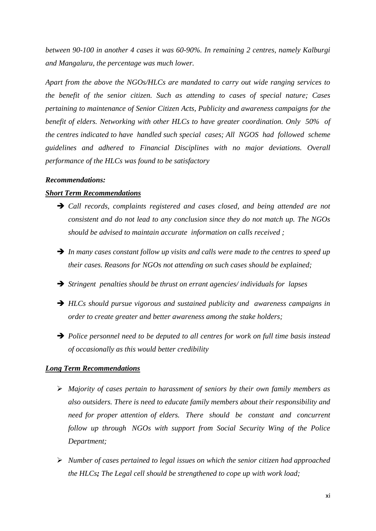*between 90-100 in another 4 cases it was 60-90%. In remaining 2 centres, namely Kalburgi and Mangaluru, the percentage was much lower.*

*Apart from the above the NGOs/HLCs are mandated to carry out wide ranging services to the benefit of the senior citizen. Such as attending to cases of special nature; Cases pertaining to maintenance of Senior Citizen Acts, Publicity and awareness campaigns for the benefit of elders. Networking with other HLCs to have greater coordination. Only 50% of the centres indicated to have handled such special cases; All NGOS had followed scheme guidelines and adhered to Financial Disciplines with no major deviations. Overall performance of the HLCs was found to be satisfactory*

### *Recommendations:*

## *Short Term Recommendations*

- ➔ *Call records, complaints registered and cases closed, and being attended are not consistent and do not lead to any conclusion since they do not match up. The NGOs should be advised to maintain accurate information on calls received ;*
- ➔ *In many cases constant follow up visits and calls were made to the centres to speed up their cases. Reasons for NGOs not attending on such cases should be explained;*
- ➔ *Stringent penalties should be thrust on errant agencies/ individuals for lapses*
- ➔ *HLCs should pursue vigorous and sustained publicity and awareness campaigns in order to create greater and better awareness among the stake holders;*
- ➔ *Police personnel need to be deputed to all centres for work on full time basis instead of occasionally as this would better credibility*

## *Long Term Recommendations*

- ➢ *Majority of cases pertain to harassment of seniors by their own family members as also outsiders. There is need to educate family members about their responsibility and need for proper attention of elders. There should be constant and concurrent follow up through NGOs with support from Social Security Wing of the Police Department;*
- ➢ *Number of cases pertained to legal issues on which the senior citizen had approached the HLCs; The Legal cell should be strengthened to cope up with work load;*